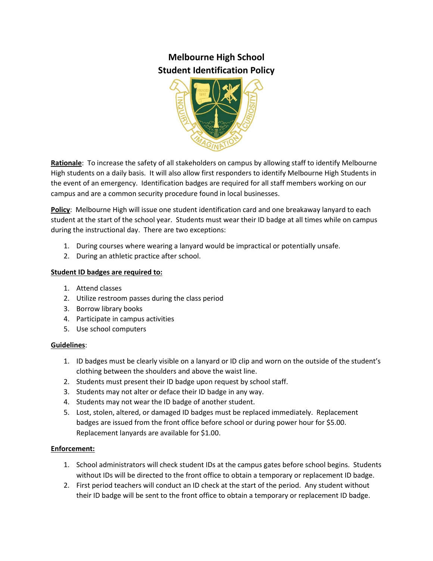# **Melbourne High School Student Identification Policy**



**Rationale**: To increase the safety of all stakeholders on campus by allowing staff to identify Melbourne High students on a daily basis. It will also allow first responders to identify Melbourne High Students in the event of an emergency. Identification badges are required for all staff members working on our campus and are a common security procedure found in local businesses.

**Policy**: Melbourne High will issue one student identification card and one breakaway lanyard to each student at the start of the school year. Students must wear their ID badge at all times while on campus during the instructional day. There are two exceptions:

- 1. During courses where wearing a lanyard would be impractical or potentially unsafe.
- 2. During an athletic practice after school.

### **Student ID badges are required to:**

- 1. Attend classes
- 2. Utilize restroom passes during the class period
- 3. Borrow library books
- 4. Participate in campus activities
- 5. Use school computers

#### **Guidelines**:

- 1. ID badges must be clearly visible on a lanyard or ID clip and worn on the outside of the student's clothing between the shoulders and above the waist line.
- 2. Students must present their ID badge upon request by school staff.
- 3. Students may not alter or deface their ID badge in any way.
- 4. Students may not wear the ID badge of another student.
- 5. Lost, stolen, altered, or damaged ID badges must be replaced immediately. Replacement badges are issued from the front office before school or during power hour for \$5.00. Replacement lanyards are available for \$1.00.

#### **Enforcement:**

- 1. School administrators will check student IDs at the campus gates before school begins. Students without IDs will be directed to the front office to obtain a temporary or replacement ID badge.
- 2. First period teachers will conduct an ID check at the start of the period. Any student without their ID badge will be sent to the front office to obtain a temporary or replacement ID badge.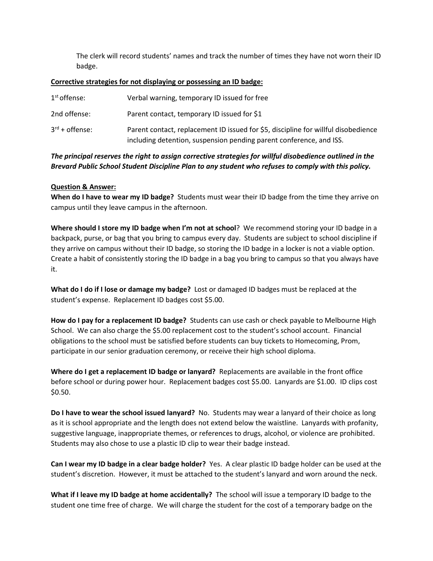The clerk will record students' names and track the number of times they have not worn their ID badge.

#### **Corrective strategies for not displaying or possessing an ID badge:**

| $1st$ offense:             | Verbal warning, temporary ID issued for free                                                                                                              |
|----------------------------|-----------------------------------------------------------------------------------------------------------------------------------------------------------|
| 2nd offense:               | Parent contact, temporary ID issued for \$1                                                                                                               |
| $3^{\text{rd}}$ + offense: | Parent contact, replacement ID issued for \$5, discipline for willful disobedience<br>including detention, suspension pending parent conference, and ISS. |

## *The principal reserves the right to assign corrective strategies for willful disobedience outlined in the Brevard Public School Student Discipline Plan to any student who refuses to comply with this policy.*

#### **Question & Answer:**

**When do I have to wear my ID badge?** Students must wear their ID badge from the time they arrive on campus until they leave campus in the afternoon.

**Where should I store my ID badge when I'm not at school**? We recommend storing your ID badge in a backpack, purse, or bag that you bring to campus every day. Students are subject to school discipline if they arrive on campus without their ID badge, so storing the ID badge in a locker is not a viable option. Create a habit of consistently storing the ID badge in a bag you bring to campus so that you always have it.

**What do I do if I lose or damage my badge?** Lost or damaged ID badges must be replaced at the student's expense. Replacement ID badges cost \$5.00.

**How do I pay for a replacement ID badge?** Students can use cash or check payable to Melbourne High School. We can also charge the \$5.00 replacement cost to the student's school account. Financial obligations to the school must be satisfied before students can buy tickets to Homecoming, Prom, participate in our senior graduation ceremony, or receive their high school diploma.

**Where do I get a replacement ID badge or lanyard?** Replacements are available in the front office before school or during power hour. Replacement badges cost \$5.00. Lanyards are \$1.00. ID clips cost \$0.50.

**Do I have to wear the school issued lanyard?** No. Students may wear a lanyard of their choice as long as it is school appropriate and the length does not extend below the waistline. Lanyards with profanity, suggestive language, inappropriate themes, or references to drugs, alcohol, or violence are prohibited. Students may also chose to use a plastic ID clip to wear their badge instead.

**Can I wear my ID badge in a clear badge holder?** Yes. A clear plastic ID badge holder can be used at the student's discretion. However, it must be attached to the student's lanyard and worn around the neck.

**What if I leave my ID badge at home accidentally?** The school will issue a temporary ID badge to the student one time free of charge. We will charge the student for the cost of a temporary badge on the